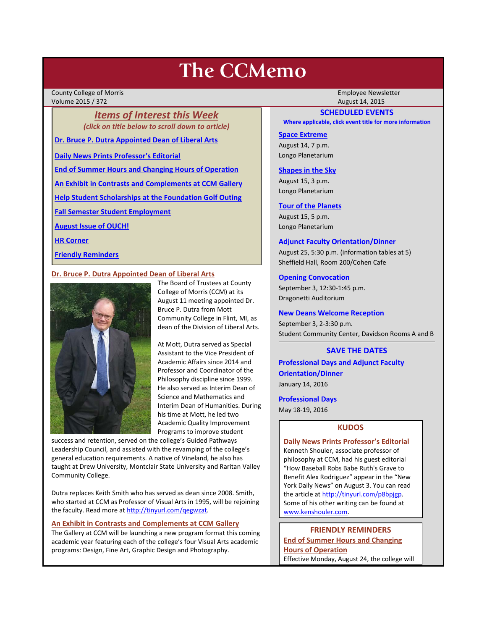# **The CCMemo**

County College of Morris Employee Newsletter Volume 2015 / 372 **August 14, 2015** August 14, 2015

*Items of Interest this Week (click on title below to scroll down to article)*

**[Dr. Bruce P. Dutra Appointed Dean of Liberal Arts](#page-0-0)**

**[Daily News Prints Professor's Editorial](#page-0-1)**

**[End of Summer Hours and Changing Hours of Operation](#page-0-2)**

**[An Exhibit in Contrasts and Complements at CCM Gallery](#page-0-3)**

**[Help Student Scholarships at the Foundation Golf Outing](#page-1-0)**

**[Fall Semester Student Employment](#page-1-1)**

**[August Issue of OUCH!](#page-2-0)**

**[HR Corner](#page-2-1)**

**[Friendly Reminders](#page-0-4)**

# <span id="page-0-0"></span>**Dr. Bruce P. Dutra Appointed Dean of Liberal Arts**



The Board of Trustees at County College of Morris (CCM) at its August 11 meeting appointed Dr. Bruce P. Dutra from Mott Community College in Flint, MI, as dean of the Division of Liberal Arts.

At Mott, Dutra served as Special Assistant to the Vice President of Academic Affairs since 2014 and Professor and Coordinator of the Philosophy discipline since 1999. He also served as Interim Dean of Science and Mathematics and Interim Dean of Humanities. During his time at Mott, he led two Academic Quality Improvement Programs to improve student

success and retention, served on the college's Guided Pathways Leadership Council, and assisted with the revamping of the college's general education requirements. A native of Vineland, he also has taught at Drew University, Montclair State University and Raritan Valley Community College.

Dutra replaces Keith Smith who has served as dean since 2008. Smith, who started at CCM as Professor of Visual Arts in 1995, will be rejoining the faculty. Read more at http://tinyurl.com/gegwzat.

#### <span id="page-0-3"></span>**An Exhibit in Contrasts and Complements at CCM Gallery**

The Gallery at CCM will be launching a new program format this coming academic year featuring each of the college's four Visual Arts academic programs: Design, Fine Art, Graphic Design and Photography.

# **SCHEDULED EVENTS**

**Where applicable, click event title for more information**

#### **[Space Extreme](http://www.ccm.edu/newsEvents/eventDetails.aspx?Channel=/Channels/Sitewide&WorkflowItemID=1874a4b0-0bcb-4ed1-a29e-7b4f8d25e45d)**

August 14, 7 p.m. Longo Planetarium

#### **[Shapes in the Sky](http://www.ccm.edu/newsEvents/eventDetails.aspx?Channel=/Channels/Sitewide&WorkflowItemID=1922c928-86d3-4e75-b6a2-fd618033989c)**

August 15, 3 p.m. Longo Planetarium

#### **[Tour of the Planets](http://www.ccm.edu/newsEvents/eventDetails.aspx?Channel=/Channels/Sitewide&WorkflowItemID=5834aa20-68ba-4fa2-a3ac-75b2311ba441)**

August 15, 5 p.m. Longo Planetarium

#### **Adjunct Faculty Orientation/Dinner**

August 25, 5:30 p.m. (information tables at 5) Sheffield Hall, Room 200/Cohen Cafe

## **Opening Convocation**

September 3, 12:30-1:45 p.m. Dragonetti Auditorium

**New Deans Welcome Reception** September 3, 2-3:30 p.m.

Student Community Center, Davidson Rooms A and B

#### **SAVE THE DATES**

**Professional Days and Adjunct Faculty Orientation/Dinner** January 14, 2016

**Professional Days** May 18-19, 2016

# **KUDOS**

<span id="page-0-1"></span>**Daily News Prints Professor's Editorial** Kenneth Shouler, associate professor of philosophy at CCM, had his guest editorial "How Baseball Robs Babe Ruth's Grave to Benefit Alex Rodriguez" appear in the "New York Daily News" on August 3. You can read the article at http://tinyurl.com/p8bpjgp. Some of his other writing can be found at [www.kenshouler.com.](http://www.kenshouler.com/)

<span id="page-0-4"></span><span id="page-0-2"></span>**FRIENDLY REMINDERS End of Summer Hours and Changing Hours of Operation** Effective Monday, August 24, the college will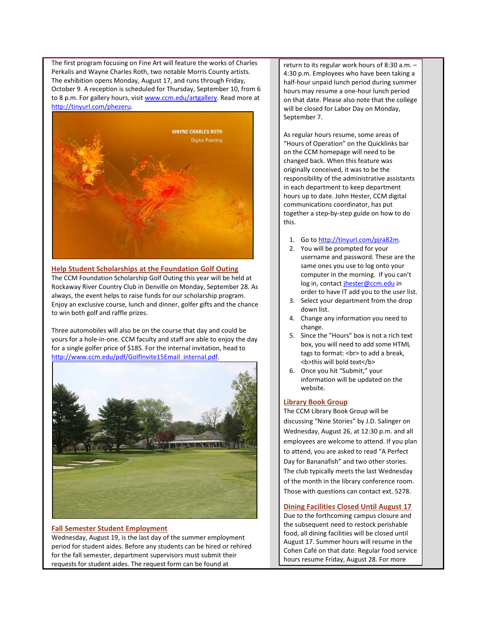The first program focusing on Fine Art will feature the works of Charles Perkalis and Wayne Charles Roth, two notable Morris County artists. The exhibition opens Monday, August 17, and runs through Friday, October 9. A reception is scheduled for Thursday, September 10, from 6 to 8 p.m. For gallery hours, visit [www.ccm.edu/artgallery.](http://www.ccm.edu/artgallery) Read more at [http://tinyurl.com/phezeru.](http://tinyurl.com/phezeru)



<span id="page-1-0"></span>**Help Student Scholarships at the Foundation Golf Outing** The CCM Foundation Scholarship Golf Outing this year will be held at Rockaway River Country Club in Denville on Monday, September 28. As always, the event helps to raise funds for our scholarship program. Enjoy an exclusive course, lunch and dinner, golfer gifts and the chance to win both golf and raffle prizes.

Three automobiles will also be on the course that day and could be yours for a hole-in-one. CCM faculty and staff are able to enjoy the day for a single golfer price of \$185. For the internal invitation, head to [http://www.ccm.edu/pdf/GolfInvite15Email\\_internal.pdf.](http://www.ccm.edu/pdf/GolfInvite15Email_internal.pdf)



#### <span id="page-1-1"></span>**Fall Semester Student Employment**

Wednesday, August 19, is the last day of the summer employment period for student aides. Before any students can be hired or rehired for the fall semester, department supervisors must submit their requests for student aides. The request form can be found at

return to its regular work hours of 8:30 a.m. – 4:30 p.m. Employees who have been taking a half-hour unpaid lunch period during summer hours may resume a one-hour lunch period on that date. Please also note that the college will be closed for Labor Day on Monday, September 7.

As regular hours resume, some areas of "Hours of Operation" on the Quicklinks bar on the CCM homepage will need to be changed back. When this feature was originally conceived, it was to be the responsibility of the administrative assistants in each department to keep department hours up to date. John Hester, CCM digital communications coordinator, has put together a step-by-step guide on how to do this.

- 1. Go t[o http://tinyurl.com/pjra82m.](http://tinyurl.com/pjra82m)
- 2. You will be prompted for your username and password. These are the same ones you use to log onto your computer in the morning. If you can't log in, contact [jhester@ccm.edu](mailto:jhester@ccm.edu) in order to have IT add you to the user list.
- 3. Select your department from the drop down list.
- 4. Change any information you need to change.
- 5. Since the "Hours" box is not a rich text box, you will need to add some HTML tags to format: <br> to add a break, <b> this will bold text</b>
- 6. Once you hit "Submit," your information will be updated on the website.

# **Library Book Group**

The CCM Library Book Group will be discussing "Nine Stories" by J.D. Salinger on Wednesday, August 26, at 12:30 p.m. and all employees are welcome to attend. If you plan to attend, you are asked to read "A Perfect Day for Bananafish" and two other stories. The club typically meets the last Wednesday of the month in the library conference room. Those with questions can contact ext. 5278.

# **Dining Facilities Closed Until August 17**

Due to the forthcoming campus closure and the subsequent need to restock perishable food, all dining facilities will be closed until August 17. Summer hours will resume in the Cohen Café on that date. Regular food service hours resume Friday, August 28. For more